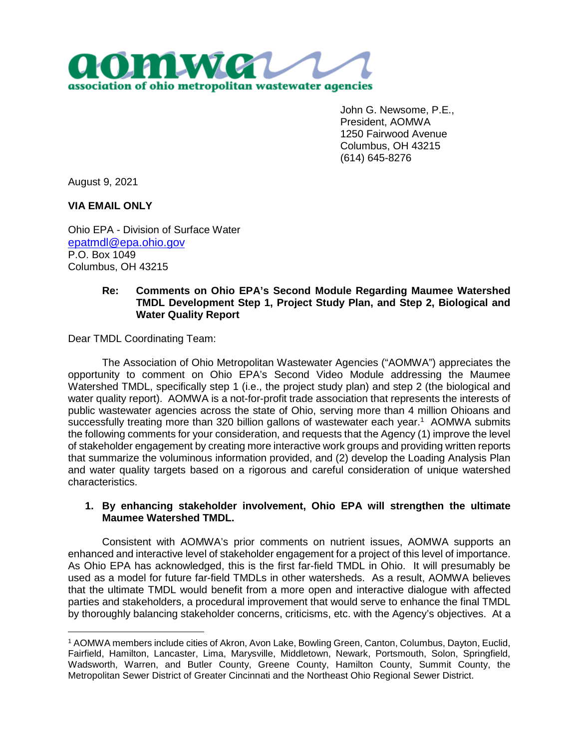

John G. Newsome, P.E., President, AOMWA 1250 Fairwood Avenue Columbus, OH 43215 (614) 645-8276

August 9, 2021

**VIA EMAIL ONLY**

Ohio EPA - Division of Surface Water epatmdl@epa.ohio.gov P.O. Box 1049 Columbus, OH 43215

## **Re: Comments on Ohio EPA's Second Module Regarding Maumee Watershed TMDL Development Step 1, Project Study Plan, and Step 2, Biological and Water Quality Report**

Dear TMDL Coordinating Team:

The Association of Ohio Metropolitan Wastewater Agencies ("AOMWA") appreciates the opportunity to comment on Ohio EPA's Second Video Module addressing the Maumee Watershed TMDL, specifically step 1 (i.e., the project study plan) and step 2 (the biological and water quality report). AOMWA is a not-for-profit trade association that represents the interests of public wastewater agencies across the state of Ohio, serving more than 4 million Ohioans and successfully treating more than 320 billion gallons of wastewater each year.<sup>1</sup> AOMWA submits the following comments for your consideration, and requests that the Agency (1) improve the level of stakeholder engagement by creating more interactive work groups and providing written reports that summarize the voluminous information provided, and (2) develop the Loading Analysis Plan and water quality targets based on a rigorous and careful consideration of unique watershed characteristics.

## **1. By enhancing stakeholder involvement, Ohio EPA will strengthen the ultimate Maumee Watershed TMDL.**

Consistent with AOMWA's prior comments on nutrient issues, AOMWA supports an enhanced and interactive level of stakeholder engagement for a project of this level of importance. As Ohio EPA has acknowledged, this is the first far-field TMDL in Ohio. It will presumably be used as a model for future far-field TMDLs in other watersheds. As a result, AOMWA believes that the ultimate TMDL would benefit from a more open and interactive dialogue with affected parties and stakeholders, a procedural improvement that would serve to enhance the final TMDL by thoroughly balancing stakeholder concerns, criticisms, etc. with the Agency's objectives. At a

<sup>1</sup> AOMWA members include cities of Akron, Avon Lake, Bowling Green, Canton, Columbus, Dayton, Euclid, Fairfield, Hamilton, Lancaster, Lima, Marysville, Middletown, Newark, Portsmouth, Solon, Springfield, Wadsworth, Warren, and Butler County, Greene County, Hamilton County, Summit County, the Metropolitan Sewer District of Greater Cincinnati and the Northeast Ohio Regional Sewer District.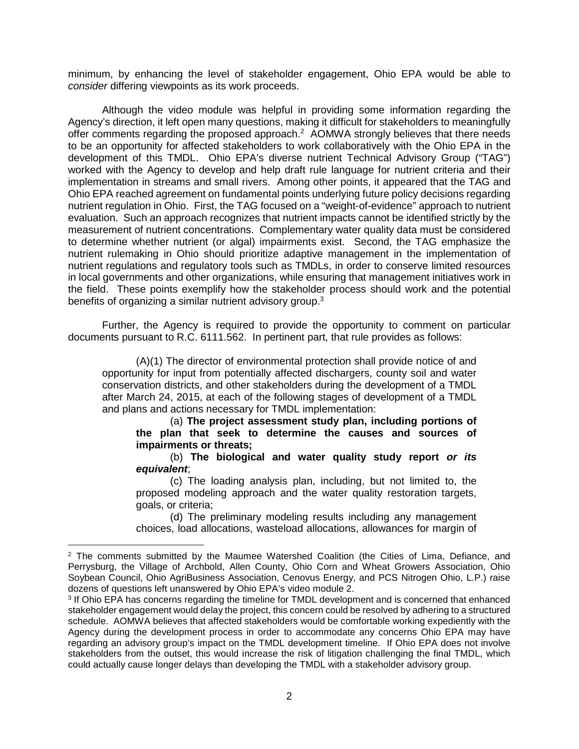minimum, by enhancing the level of stakeholder engagement, Ohio EPA would be able to *consider* differing viewpoints as its work proceeds.

Although the video module was helpful in providing some information regarding the Agency's direction, it left open many questions, making it difficult for stakeholders to meaningfully offer comments regarding the proposed approach.<sup>2</sup> AOMWA strongly believes that there needs to be an opportunity for affected stakeholders to work collaboratively with the Ohio EPA in the development of this TMDL. Ohio EPA's diverse nutrient Technical Advisory Group ("TAG") worked with the Agency to develop and help draft rule language for nutrient criteria and their implementation in streams and small rivers. Among other points, it appeared that the TAG and Ohio EPA reached agreement on fundamental points underlying future policy decisions regarding nutrient regulation in Ohio. First, the TAG focused on a "weight-of-evidence" approach to nutrient evaluation. Such an approach recognizes that nutrient impacts cannot be identified strictly by the measurement of nutrient concentrations. Complementary water quality data must be considered to determine whether nutrient (or algal) impairments exist. Second, the TAG emphasize the nutrient rulemaking in Ohio should prioritize adaptive management in the implementation of nutrient regulations and regulatory tools such as TMDLs, in order to conserve limited resources in local governments and other organizations, while ensuring that management initiatives work in the field. These points exemplify how the stakeholder process should work and the potential benefits of organizing a similar nutrient advisory group.<sup>3</sup>

Further, the Agency is required to provide the opportunity to comment on particular documents pursuant to R.C. 6111.562. In pertinent part, that rule provides as follows:

(A)(1) The director of environmental protection shall provide notice of and opportunity for input from potentially affected dischargers, county soil and water conservation districts, and other stakeholders during the development of a TMDL after March 24, 2015, at each of the following stages of development of a TMDL and plans and actions necessary for TMDL implementation:

(a) **The project assessment study plan, including portions of the plan that seek to determine the causes and sources of impairments or threats;** 

(b) **The biological and water quality study report** *or its equivalent*;

(c) The loading analysis plan, including, but not limited to, the proposed modeling approach and the water quality restoration targets, goals, or criteria;

(d) The preliminary modeling results including any management choices, load allocations, wasteload allocations, allowances for margin of

<sup>&</sup>lt;sup>2</sup> The comments submitted by the Maumee Watershed Coalition (the Cities of Lima, Defiance, and Perrysburg, the Village of Archbold, Allen County, Ohio Corn and Wheat Growers Association, Ohio Soybean Council, Ohio AgriBusiness Association, Cenovus Energy, and PCS Nitrogen Ohio, L.P.) raise dozens of questions left unanswered by Ohio EPA's video module 2.

<sup>&</sup>lt;sup>3</sup> If Ohio EPA has concerns regarding the timeline for TMDL development and is concerned that enhanced stakeholder engagement would delay the project, this concern could be resolved by adhering to a structured schedule. AOMWA believes that affected stakeholders would be comfortable working expediently with the Agency during the development process in order to accommodate any concerns Ohio EPA may have regarding an advisory group's impact on the TMDL development timeline. If Ohio EPA does not involve stakeholders from the outset, this would increase the risk of litigation challenging the final TMDL, which could actually cause longer delays than developing the TMDL with a stakeholder advisory group.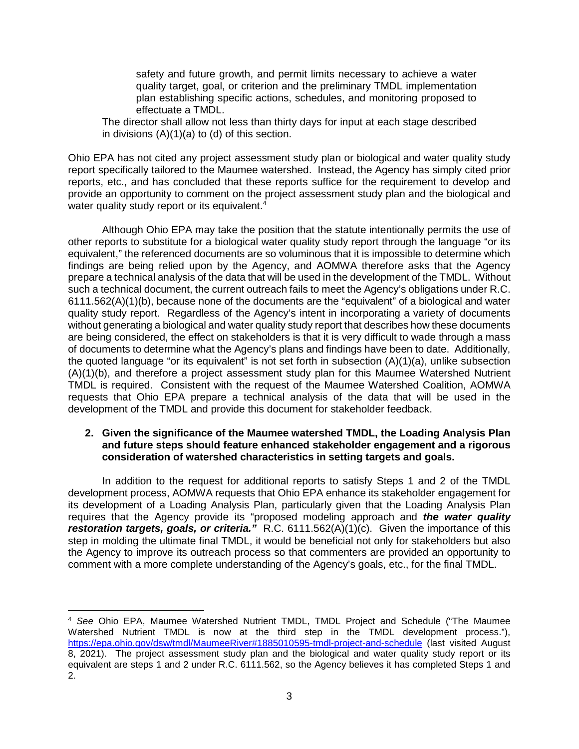safety and future growth, and permit limits necessary to achieve a water quality target, goal, or criterion and the preliminary TMDL implementation plan establishing specific actions, schedules, and monitoring proposed to effectuate a TMDL.

The director shall allow not less than thirty days for input at each stage described in divisions (A)(1)(a) to (d) of this section.

Ohio EPA has not cited any project assessment study plan or biological and water quality study report specifically tailored to the Maumee watershed. Instead, the Agency has simply cited prior reports, etc., and has concluded that these reports suffice for the requirement to develop and provide an opportunity to comment on the project assessment study plan and the biological and water quality study report or its equivalent.<sup>4</sup>

Although Ohio EPA may take the position that the statute intentionally permits the use of other reports to substitute for a biological water quality study report through the language "or its equivalent," the referenced documents are so voluminous that it is impossible to determine which findings are being relied upon by the Agency, and AOMWA therefore asks that the Agency prepare a technical analysis of the data that will be used in the development of the TMDL. Without such a technical document, the current outreach fails to meet the Agency's obligations under R.C. 6111.562(A)(1)(b), because none of the documents are the "equivalent" of a biological and water quality study report. Regardless of the Agency's intent in incorporating a variety of documents without generating a biological and water quality study report that describes how these documents are being considered, the effect on stakeholders is that it is very difficult to wade through a mass of documents to determine what the Agency's plans and findings have been to date. Additionally, the quoted language "or its equivalent" is not set forth in subsection (A)(1)(a), unlike subsection (A)(1)(b), and therefore a project assessment study plan for this Maumee Watershed Nutrient TMDL is required. Consistent with the request of the Maumee Watershed Coalition, AOMWA requests that Ohio EPA prepare a technical analysis of the data that will be used in the development of the TMDL and provide this document for stakeholder feedback.

## **2. Given the significance of the Maumee watershed TMDL, the Loading Analysis Plan and future steps should feature enhanced stakeholder engagement and a rigorous consideration of watershed characteristics in setting targets and goals.**

In addition to the request for additional reports to satisfy Steps 1 and 2 of the TMDL development process, AOMWA requests that Ohio EPA enhance its stakeholder engagement for its development of a Loading Analysis Plan, particularly given that the Loading Analysis Plan requires that the Agency provide its "proposed modeling approach and *the water quality restoration targets, goals, or criteria."* R.C. 6111.562(A)(1)(c). Given the importance of this step in molding the ultimate final TMDL, it would be beneficial not only for stakeholders but also the Agency to improve its outreach process so that commenters are provided an opportunity to comment with a more complete understanding of the Agency's goals, etc., for the final TMDL.

<sup>4</sup> *See* Ohio EPA, Maumee Watershed Nutrient TMDL, TMDL Project and Schedule ("The Maumee Watershed Nutrient TMDL is now at the third step in the TMDL development process."), https://epa.ohio.gov/dsw/tmdl/MaumeeRiver#1885010595-tmdl-project-and-schedule (last visited August 8, 2021). The project assessment study plan and the biological and water quality study report or its equivalent are steps 1 and 2 under R.C. 6111.562, so the Agency believes it has completed Steps 1 and 2.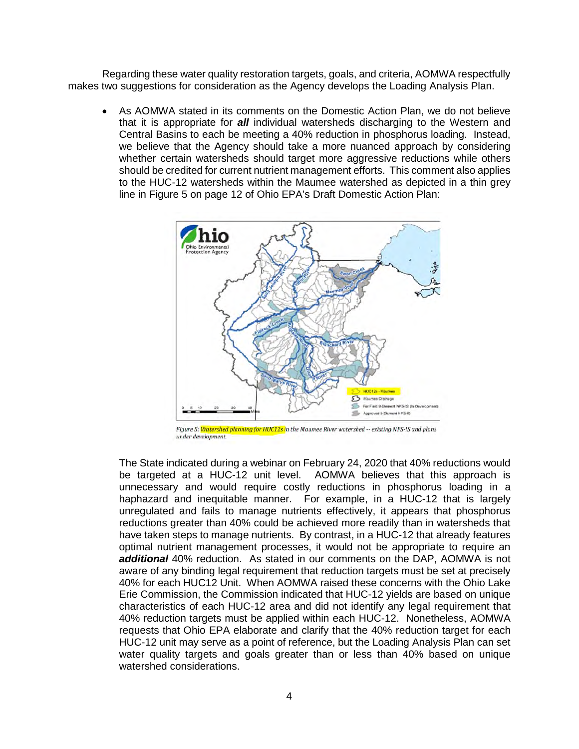Regarding these water quality restoration targets, goals, and criteria, AOMWA respectfully makes two suggestions for consideration as the Agency develops the Loading Analysis Plan.

 As AOMWA stated in its comments on the Domestic Action Plan, we do not believe that it is appropriate for *all* individual watersheds discharging to the Western and Central Basins to each be meeting a 40% reduction in phosphorus loading. Instead, we believe that the Agency should take a more nuanced approach by considering whether certain watersheds should target more aggressive reductions while others should be credited for current nutrient management efforts. This comment also applies to the HUC-12 watersheds within the Maumee watershed as depicted in a thin grey line in Figure 5 on page 12 of Ohio EPA's Draft Domestic Action Plan:



Figure 5: <mark>Watershed planning for HUC12s i</mark>n the Maumee River watershed -- existing NPS-IS and plans under development.

The State indicated during a webinar on February 24, 2020 that 40% reductions would be targeted at a HUC-12 unit level. AOMWA believes that this approach is unnecessary and would require costly reductions in phosphorus loading in a haphazard and inequitable manner. For example, in a HUC-12 that is largely unregulated and fails to manage nutrients effectively, it appears that phosphorus reductions greater than 40% could be achieved more readily than in watersheds that have taken steps to manage nutrients. By contrast, in a HUC-12 that already features optimal nutrient management processes, it would not be appropriate to require an *additional* 40% reduction. As stated in our comments on the DAP, AOMWA is not aware of any binding legal requirement that reduction targets must be set at precisely 40% for each HUC12 Unit. When AOMWA raised these concerns with the Ohio Lake Erie Commission, the Commission indicated that HUC-12 yields are based on unique characteristics of each HUC-12 area and did not identify any legal requirement that 40% reduction targets must be applied within each HUC-12. Nonetheless, AOMWA requests that Ohio EPA elaborate and clarify that the 40% reduction target for each HUC-12 unit may serve as a point of reference, but the Loading Analysis Plan can set water quality targets and goals greater than or less than 40% based on unique watershed considerations.